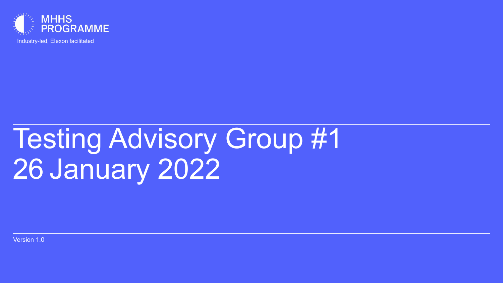

Industry-led, Elexon facilitated

# Testing Advisory Group #1 26 January 2022

Version 1.0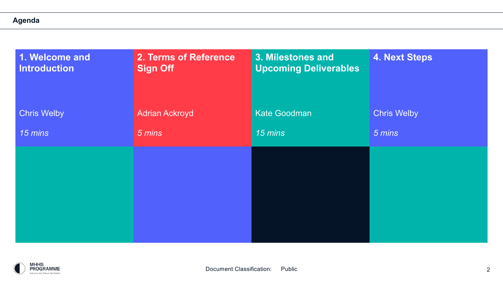#### **Agenda**

| 1. Welcome and<br>Introduction | 2. Terms of Reference<br><b>Sign Off</b> | 3. Milestones and<br><b>Upcoming Deliverables</b> | <b>4. Next Steps</b> |
|--------------------------------|------------------------------------------|---------------------------------------------------|----------------------|
| <b>Chris Welby</b>             | <b>Adrian Ackroyd</b>                    | Kate Goodman                                      | <b>Chris Welby</b>   |
| 15 mins                        | 5 mins                                   | 15 mins                                           | 5 mins               |
|                                |                                          |                                                   |                      |
|                                |                                          |                                                   |                      |
|                                |                                          |                                                   |                      |
|                                |                                          |                                                   |                      |
|                                |                                          |                                                   |                      |

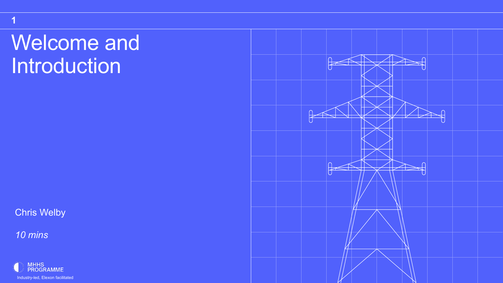## Welcome and Introduction

Chris Welby

*10 mins*

**1**



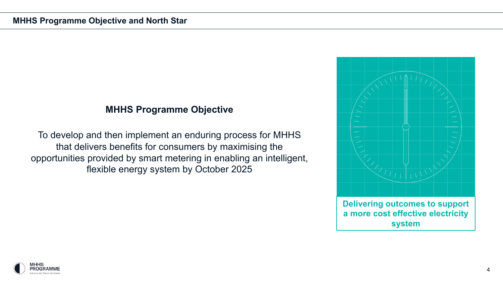## **MHHS Programme Objective**

To develop and then implement an enduring process for MHHS that delivers benefits for consumers by maximising the opportunities provided by smart metering in enabling an intelligent, flexible energy system by October 2025



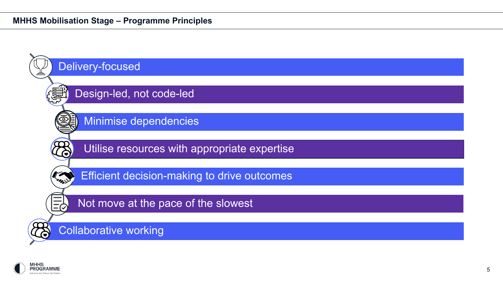#### **MHHS Mobilisation Stage – Programme Principles**



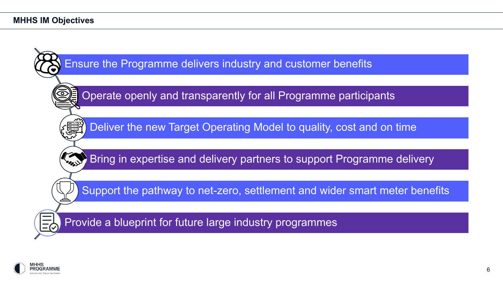

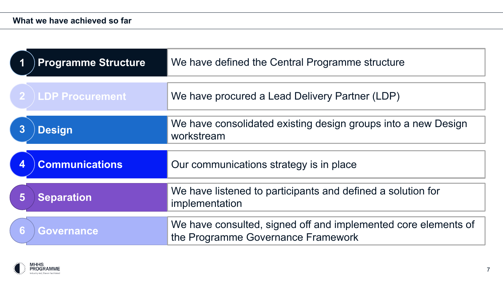|                  | <b>Programme Structure</b> | We have defined the Central Programme structure                               |  |
|------------------|----------------------------|-------------------------------------------------------------------------------|--|
|                  | <b>LDP Procurement</b>     | We have procured a Lead Delivery Partner (LDP)                                |  |
| $\boldsymbol{3}$ | <b>Design</b>              | We have consolidated existing design groups into a new Design<br>workstream   |  |
|                  | <b>Communications</b>      | Our communications strategy is in place                                       |  |
|                  |                            |                                                                               |  |
| 5                | <b>Separation</b>          | We have listened to participants and defined a solution for<br>implementation |  |

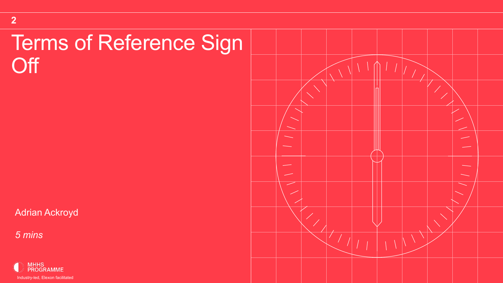## Terms of Reference Sign **Off**

Adrian Ackroyd

*5 mins*

**2**



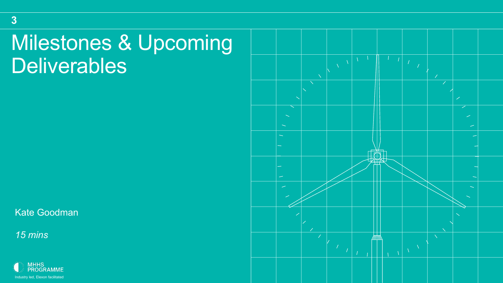## Milestones & Upcoming **Deliverables**

Kate Goodman

*15 mins*

**3**



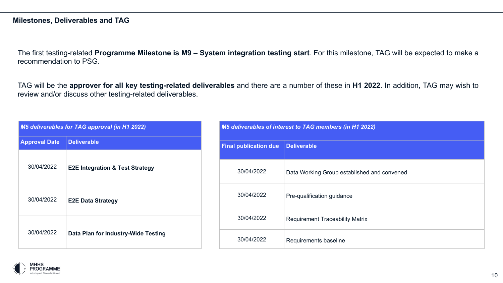The first testing-related **Programme Milestone is M9 – System integration testing start**. For this milestone, TAG will be expected to make a recommendation to PSG.

TAG will be the **approver for all key testing-related deliverables** and there are a number of these in **H1 2022**. In addition, TAG may wish to review and/or discuss other testing-related deliverables.

| <b>M5 deliverables for TAG approval (in H1 2022)</b> |                                            |  |
|------------------------------------------------------|--------------------------------------------|--|
| <b>Approval Date</b>                                 | <b>Deliverable</b>                         |  |
| 30/04/2022                                           | <b>E2E Integration &amp; Test Strategy</b> |  |
| 30/04/2022                                           | <b>E2E Data Strategy</b>                   |  |
| 30/04/2022                                           | Data Plan for Industry-Wide Testing        |  |

| M5 deliverables of interest to TAG members (in H1 2022) |                                             |  |  |
|---------------------------------------------------------|---------------------------------------------|--|--|
| <b>Final publication due</b>                            | <b>Deliverable</b>                          |  |  |
| 30/04/2022                                              | Data Working Group established and convened |  |  |
| 30/04/2022                                              | Pre-qualification guidance                  |  |  |
| 30/04/2022                                              | <b>Requirement Traceability Matrix</b>      |  |  |
| 30/04/2022                                              | Requirements baseline                       |  |  |

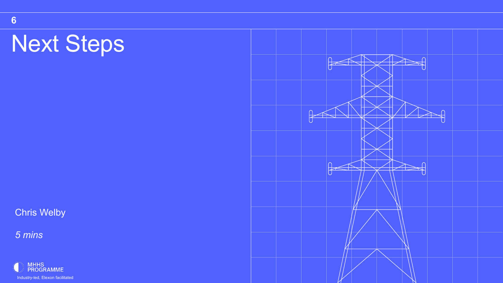## Next Steps

**Chris Welby** 

*5 mins*



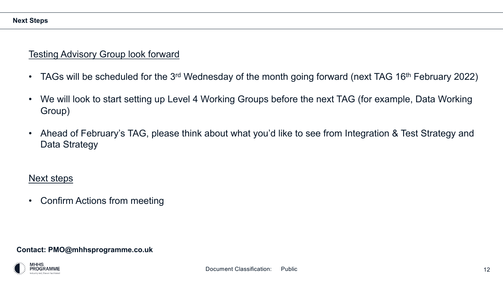## Testing Advisory Group look forward

- TAGs will be scheduled for the 3<sup>rd</sup> Wednesday of the month going forward (next TAG 16<sup>th</sup> February 2022)
- We will look to start setting up Level 4 Working Groups before the next TAG (for example, Data Working Group)
- Ahead of February's TAG, please think about what you'd like to see from Integration & Test Strategy and Data Strategy

## Next steps

• Confirm Actions from meeting

#### **Contact: PMO@mhhsprogramme.co.uk**